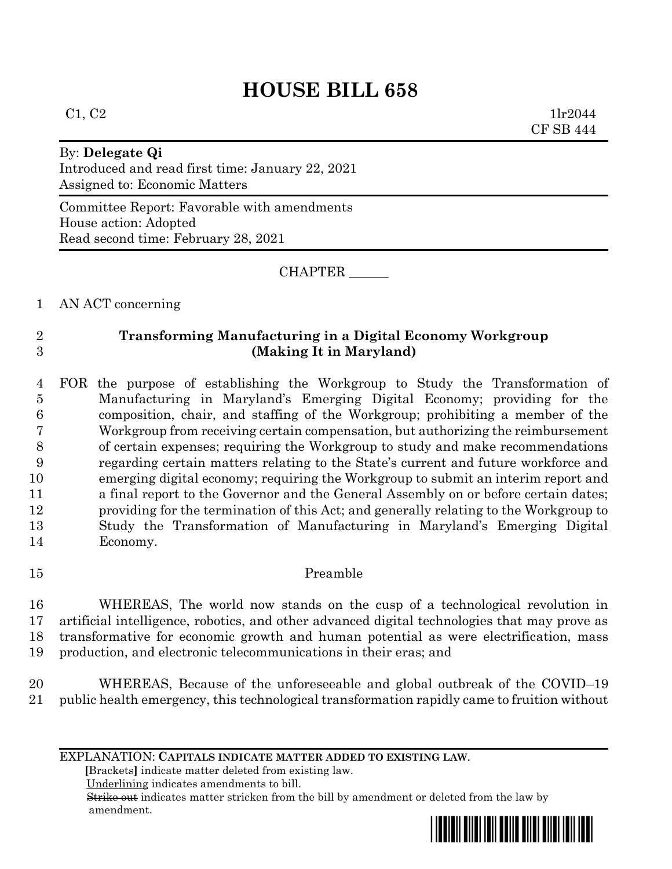# **HOUSE BILL 658**

 $C1, C2$  1lr2044 CF SB 444

## By: **Delegate Qi**

Introduced and read first time: January 22, 2021 Assigned to: Economic Matters

Committee Report: Favorable with amendments House action: Adopted Read second time: February 28, 2021

CHAPTER \_\_\_\_\_\_

1 AN ACT concerning

# 2 **Transforming Manufacturing in a Digital Economy Workgroup** 3 **(Making It in Maryland)**

 FOR the purpose of establishing the Workgroup to Study the Transformation of Manufacturing in Maryland's Emerging Digital Economy; providing for the composition, chair, and staffing of the Workgroup; prohibiting a member of the Workgroup from receiving certain compensation, but authorizing the reimbursement of certain expenses; requiring the Workgroup to study and make recommendations regarding certain matters relating to the State's current and future workforce and emerging digital economy; requiring the Workgroup to submit an interim report and a final report to the Governor and the General Assembly on or before certain dates; providing for the termination of this Act; and generally relating to the Workgroup to Study the Transformation of Manufacturing in Maryland's Emerging Digital 14 Economy.

15 Preamble

 WHEREAS, The world now stands on the cusp of a technological revolution in artificial intelligence, robotics, and other advanced digital technologies that may prove as transformative for economic growth and human potential as were electrification, mass production, and electronic telecommunications in their eras; and

20 WHEREAS, Because of the unforeseeable and global outbreak of the COVID–19 21 public health emergency, this technological transformation rapidly came to fruition without

EXPLANATION: **CAPITALS INDICATE MATTER ADDED TO EXISTING LAW**.

 **[**Brackets**]** indicate matter deleted from existing law.

Underlining indicates amendments to bill.

 Strike out indicates matter stricken from the bill by amendment or deleted from the law by amendment.

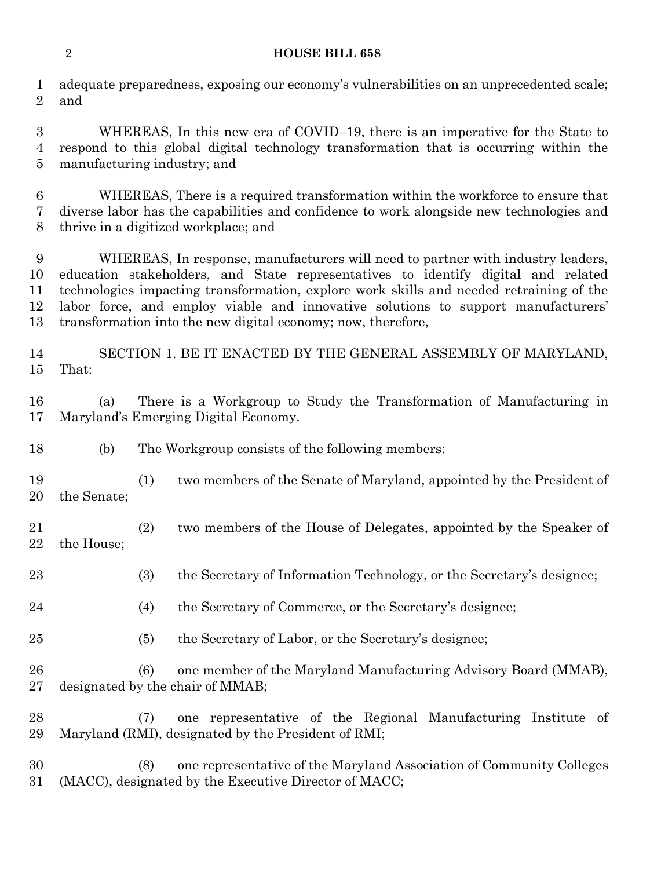### **HOUSE BILL 658**

 adequate preparedness, exposing our economy's vulnerabilities on an unprecedented scale; and

 WHEREAS, In this new era of COVID–19, there is an imperative for the State to respond to this global digital technology transformation that is occurring within the manufacturing industry; and

 WHEREAS, There is a required transformation within the workforce to ensure that diverse labor has the capabilities and confidence to work alongside new technologies and thrive in a digitized workplace; and

 WHEREAS, In response, manufacturers will need to partner with industry leaders, education stakeholders, and State representatives to identify digital and related technologies impacting transformation, explore work skills and needed retraining of the labor force, and employ viable and innovative solutions to support manufacturers' transformation into the new digital economy; now, therefore,

 SECTION 1. BE IT ENACTED BY THE GENERAL ASSEMBLY OF MARYLAND, That:

 (a) There is a Workgroup to Study the Transformation of Manufacturing in Maryland's Emerging Digital Economy.

- (b) The Workgroup consists of the following members:
- (1) two members of the Senate of Maryland, appointed by the President of the Senate;
- (2) two members of the House of Delegates, appointed by the Speaker of the House;
- (3) the Secretary of Information Technology, or the Secretary's designee;
- (4) the Secretary of Commerce, or the Secretary's designee;
- (5) the Secretary of Labor, or the Secretary's designee;

 (6) one member of the Maryland Manufacturing Advisory Board (MMAB), designated by the chair of MMAB;

 (7) one representative of the Regional Manufacturing Institute of Maryland (RMI), designated by the President of RMI;

 (8) one representative of the Maryland Association of Community Colleges (MACC), designated by the Executive Director of MACC;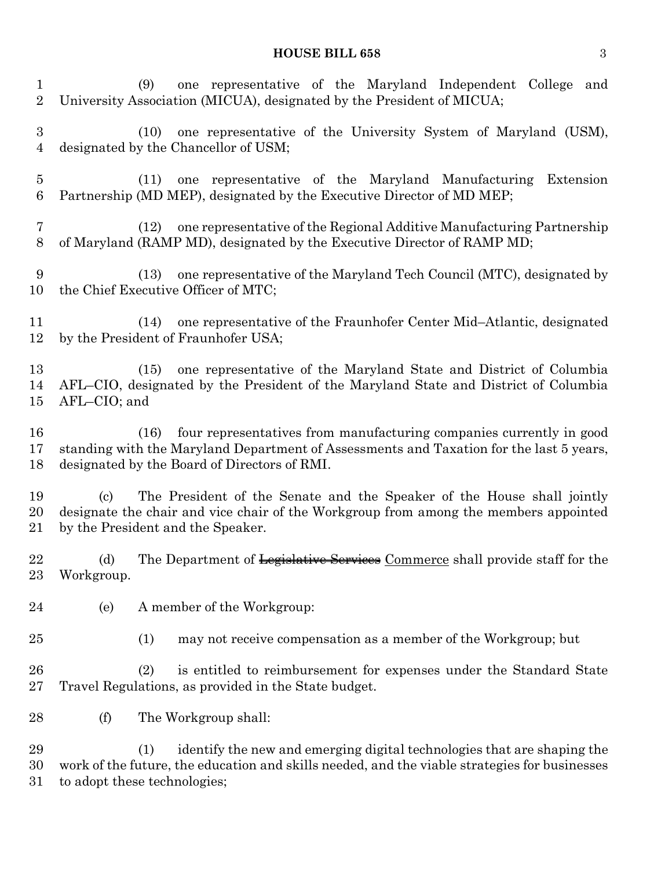# **HOUSE BILL 658** 3

| $\mathbf{1}$<br>$\overline{2}$     |                                                                                                                                                                                                            | one representative of the Maryland Independent College and<br>(9)<br>University Association (MICUA), designated by the President of MICUA;                                                                             |
|------------------------------------|------------------------------------------------------------------------------------------------------------------------------------------------------------------------------------------------------------|------------------------------------------------------------------------------------------------------------------------------------------------------------------------------------------------------------------------|
| $\boldsymbol{3}$<br>$\overline{4}$ |                                                                                                                                                                                                            | one representative of the University System of Maryland (USM),<br>(10)<br>designated by the Chancellor of USM;                                                                                                         |
| $\overline{5}$<br>6                |                                                                                                                                                                                                            | one representative of the Maryland Manufacturing<br>Extension<br>(11)<br>Partnership (MD MEP), designated by the Executive Director of MD MEP;                                                                         |
| 7<br>$8\,$                         |                                                                                                                                                                                                            | one representative of the Regional Additive Manufacturing Partnership<br>(12)<br>of Maryland (RAMP MD), designated by the Executive Director of RAMP MD;                                                               |
| 9<br>10                            |                                                                                                                                                                                                            | one representative of the Maryland Tech Council (MTC), designated by<br>(13)<br>the Chief Executive Officer of MTC;                                                                                                    |
| 11<br>12                           |                                                                                                                                                                                                            | one representative of the Fraunhofer Center Mid-Atlantic, designated<br>(14)<br>by the President of Fraunhofer USA;                                                                                                    |
| 13<br>14<br>15                     | AFL-CIO; and                                                                                                                                                                                               | one representative of the Maryland State and District of Columbia<br>(15)<br>AFL-CIO, designated by the President of the Maryland State and District of Columbia                                                       |
| 16<br>17<br>18                     |                                                                                                                                                                                                            | four representatives from manufacturing companies currently in good<br>(16)<br>standing with the Maryland Department of Assessments and Taxation for the last 5 years,<br>designated by the Board of Directors of RMI. |
| 19<br>20<br>21                     | The President of the Senate and the Speaker of the House shall jointly<br>(c)<br>designate the chair and vice chair of the Workgroup from among the members appointed<br>by the President and the Speaker. |                                                                                                                                                                                                                        |
| 22<br>23                           | (d)<br>Workgroup.                                                                                                                                                                                          | The Department of Legislative Services Commerce shall provide staff for the                                                                                                                                            |
| 24                                 | (e)                                                                                                                                                                                                        | A member of the Workgroup:                                                                                                                                                                                             |
| 25                                 |                                                                                                                                                                                                            | (1)<br>may not receive compensation as a member of the Workgroup; but                                                                                                                                                  |
| 26<br>27                           |                                                                                                                                                                                                            | (2)<br>is entitled to reimbursement for expenses under the Standard State<br>Travel Regulations, as provided in the State budget.                                                                                      |
| 28                                 | (f)                                                                                                                                                                                                        | The Workgroup shall:                                                                                                                                                                                                   |
| 29<br>30<br>31                     |                                                                                                                                                                                                            | (1)<br>identify the new and emerging digital technologies that are shaping the<br>work of the future, the education and skills needed, and the viable strategies for businesses<br>to adopt these technologies;        |